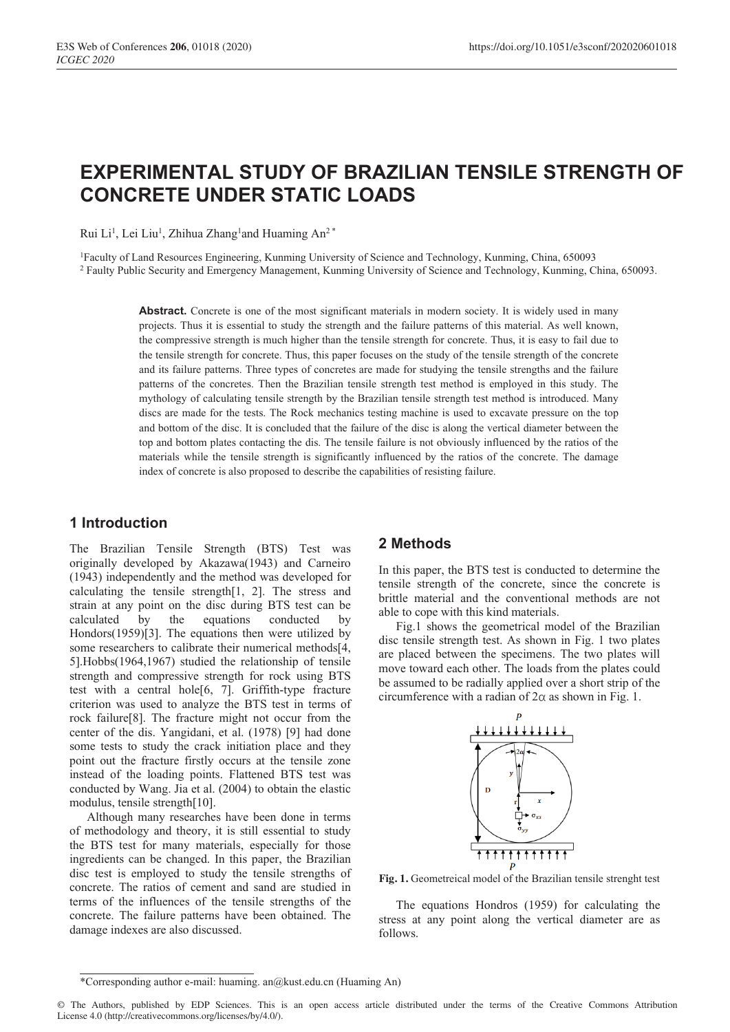# **EXPERIMENTAL STUDY OF BRAZILIAN TENSILE STRENGTH OF CONCRETE UNDER STATIC LOADS**

Rui Li<sup>1</sup>, Lei Liu<sup>1</sup>, Zhihua Zhang<sup>1</sup>and Huaming An<sup>2\*</sup>

1Faculty of Land Resources Engineering, Kunming University of Science and Technology, Kunming, China, 650093 <sup>2</sup> Faulty Public Security and Emergency Management, Kunming University of Science and Technology, Kunming, China, 650093.

> Abstract. Concrete is one of the most significant materials in modern society. It is widely used in many projects. Thus it is essential to study the strength and the failure patterns of this material. As well known, the compressive strength is much higher than the tensile strength for concrete. Thus, it is easy to fail due to the tensile strength for concrete. Thus, this paper focuses on the study of the tensile strength of the concrete and its failure patterns. Three types of concretes are made for studying the tensile strengths and the failure patterns of the concretes. Then the Brazilian tensile strength test method is employed in this study. The mythology of calculating tensile strength by the Brazilian tensile strength test method is introduced. Many discs are made for the tests. The Rock mechanics testing machine is used to excavate pressure on the top and bottom of the disc. It is concluded that the failure of the disc is along the vertical diameter between the top and bottom plates contacting the dis. The tensile failure is not obviously influenced by the ratios of the materials while the tensile strength is significantly influenced by the ratios of the concrete. The damage index of concrete is also proposed to describe the capabilities of resisting failure.

## **1 Introduction**

The Brazilian Tensile Strength (BTS) Test was originally developed by Akazawa(1943) and Carneiro (1943) independently and the method was developed for calculating the tensile strength[1, 2]. The stress and strain at any point on the disc during BTS test can be calculated by the equations conducted by Hondors(1959)[3]. The equations then were utilized by some researchers to calibrate their numerical methods[4, 5].Hobbs(1964,1967) studied the relationship of tensile strength and compressive strength for rock using BTS test with a central hole[6, 7]. Griffith-type fracture criterion was used to analyze the BTS test in terms of rock failure[8]. The fracture might not occur from the center of the dis. Yangidani, et al. (1978) [9] had done some tests to study the crack initiation place and they point out the fracture firstly occurs at the tensile zone instead of the loading points. Flattened BTS test was conducted by Wang. Jia et al. (2004) to obtain the elastic modulus, tensile strength[10].

Although many researches have been done in terms of methodology and theory, it is still essential to study the BTS test for many materials, especially for those ingredients can be changed. In this paper, the Brazilian disc test is employed to study the tensile strengths of concrete. The ratios of cement and sand are studied in terms of the influences of the tensile strengths of the concrete. The failure patterns have been obtained. The damage indexes are also discussed.

# **2 Methods**

In this paper, the BTS test is conducted to determine the tensile strength of the concrete, since the concrete is brittle material and the conventional methods are not able to cope with this kind materials.

Fig.1 shows the geometrical model of the Brazilian disc tensile strength test. As shown in Fig. 1 two plates are placed between the specimens. The two plates will move toward each other. The loads from the plates could be assumed to be radially applied over a short strip of the circumference with a radian of  $2\alpha$  as shown in Fig. 1.



**Fig. 1.** Geometreical model of the Brazilian tensile strenght test

The equations Hondros (1959) for calculating the stress at any point along the vertical diameter are as follows.

<sup>\*</sup>Corresponding author e-mail: huaming. an@kust.edu.cn (Huaming An)

<sup>©</sup> The Authors, published by EDP Sciences. This is an open access article distributed under the terms of the Creative Commons Attribution License 4.0 (http://creativecommons.org/licenses/by/4.0/).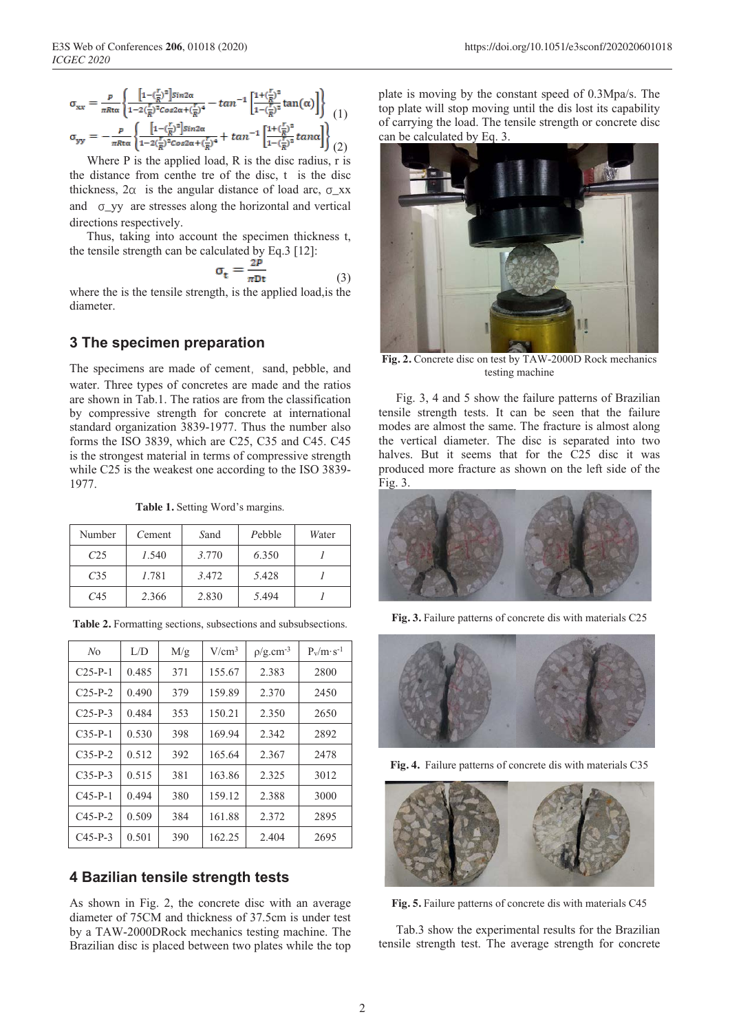$$
\sigma_{xx} = \frac{p}{\pi R \tau \alpha} \left\{ \frac{\left[1 - \left(\frac{r}{R}\right)^2\right] \sin 2\alpha}{1 - 2\left(\frac{r}{R}\right)^2 \cos 2\alpha + \left(\frac{r}{R}\right)^4} - \tan^{-1} \left[\frac{1 + \left(\frac{r}{R}\right)^2}{1 - \left(\frac{r}{R}\right)^2} \tan(\alpha) \right] \right\} \right\} (1)
$$
\n
$$
\sigma_{yy} = -\frac{p}{\pi R \tau \alpha} \left\{ \frac{\left[1 - \left(\frac{r}{R}\right)^2\right] \sin 2\alpha}{1 - 2\left(\frac{r}{R}\right)^2 \cos 2\alpha + \left(\frac{r}{R}\right)^4} + \tan^{-1} \left[\frac{1 + \left(\frac{r}{R}\right)^2}{1 - \left(\frac{r}{R}\right)^2} \tan \alpha \right] \right\} (2)
$$

Where P is the applied load, R is the disc radius, r is the distance from centhe tre of the disc, t is the disc thickness,  $2\alpha$  is the angular distance of load arc,  $\sigma_{\rm{X}}$ xx and σ\_yy are stresses along the horizontal and vertical directions respectively.

Thus, taking into account the specimen thickness t, the tensile strength can be calculated by Eq.3 [12]:

$$
\sigma_{\rm t} = \frac{2\dot{p}}{\pi Dt} \tag{3}
$$

where the is the tensile strength, is the applied load,is the diameter.

## **3 The specimen preparation**

The specimens are made of cement, sand, pebble, and water. Three types of concretes are made and the ratios are shown in Tab.1. The ratios are from the classification by compressive strength for concrete at international standard organization 3839-1977. Thus the number also forms the ISO 3839, which are C25, C35 and C45. C45 is the strongest material in terms of compressive strength while C25 is the weakest one according to the ISO 3839- 1977.

**Table 1.** Setting Word's margins.

| Number          | Cement | Sand  | Pebble | Water |
|-----------------|--------|-------|--------|-------|
| C <sub>25</sub> | 1.540  | 3.770 | 6.350  |       |
| C <sub>35</sub> | 1.781  | 3.472 | 5.428  |       |
| C45             | 2.366  | 2.830 | 5.494  |       |

| N <sub>O</sub> | L/D   | M/g | $V/cm^3$ | $\rho$ /g.cm <sup>-3</sup> | $P_v/m \cdot s^{-1}$ |
|----------------|-------|-----|----------|----------------------------|----------------------|
| $C25-P-1$      | 0.485 | 371 | 155.67   | 2.383                      | 2800                 |
| $C25-P-2$      | 0.490 | 379 | 159.89   | 2.370                      | 2450                 |
| $C25-P-3$      | 0.484 | 353 | 150.21   | 2.350                      | 2650                 |
| $C35-P-1$      | 0.530 | 398 | 169.94   | 2.342                      | 2892                 |
| $C35-P-2$      | 0.512 | 392 | 165.64   | 2.367                      | 2478                 |
| $C35-P-3$      | 0.515 | 381 | 163.86   | 2.325                      | 3012                 |
| $C45-P-1$      | 0.494 | 380 | 159.12   | 2.388                      | 3000                 |
| $C45-P-2$      | 0.509 | 384 | 161.88   | 2.372                      | 2895                 |
| $C45-P-3$      | 0.501 | 390 | 162.25   | 2.404                      | 2695                 |

**Table 2.** Formatting sections, subsections and subsubsections.

#### **4 Bazilian tensile strength tests**

As shown in Fig. 2, the concrete disc with an average diameter of 75CM and thickness of 37.5cm is under test by a TAW-2000DRock mechanics testing machine. The Brazilian disc is placed between two plates while the top

plate is moving by the constant speed of 0.3Mpa/s. The top plate will stop moving until the dis lost its capability of carrying the load. The tensile strength or concrete disc can be calculated by Eq. 3.



**Fig. 2.** Concrete disc on test by TAW-2000D Rock mechanics testing machine

Fig. 3, 4 and 5 show the failure patterns of Brazilian tensile strength tests. It can be seen that the failure modes are almost the same. The fracture is almost along the vertical diameter. The disc is separated into two halves. But it seems that for the C25 disc it was produced more fracture as shown on the left side of the Fig. 3.



**Fig. 3.** Failure patterns of concrete dis with materials C25



**Fig. 4.** Failure patterns of concrete dis with materials C35



**Fig. 5.** Failure patterns of concrete dis with materials C45

Tab.3 show the experimental results for the Brazilian tensile strength test. The average strength for concrete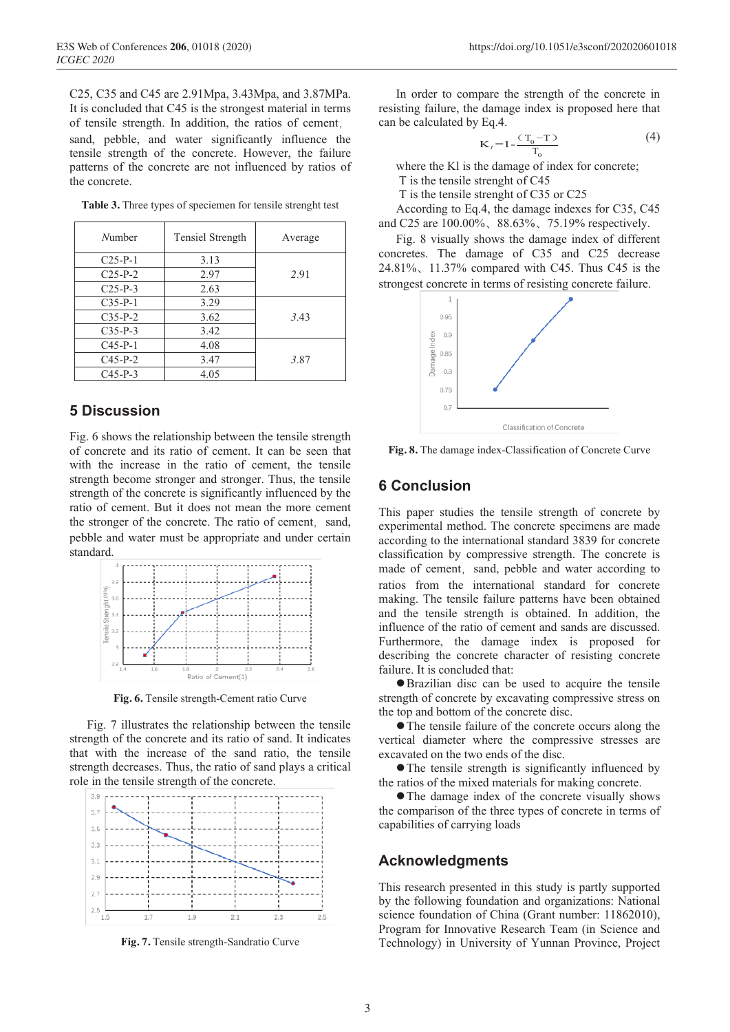C25, C35 and C45 are 2.91Mpa, 3.43Mpa, and 3.87MPa. It is concluded that C45 is the strongest material in terms of tensile strength. In addition, the ratios of cement,

sand, pebble, and water significantly influence the tensile strength of the concrete. However, the failure patterns of the concrete are not influenced by ratios of the concrete.

| Number    | Tensiel Strength | Average |
|-----------|------------------|---------|
| $C25-P-1$ | 3.13             |         |
| $C25-P-2$ | 2.97             | 2.91    |
| $C25-P-3$ | 2.63             |         |
| $C35-P-1$ | 3.29             |         |
| $C35-P-2$ | 3.62             | 3.43    |
| $C35-P-3$ | 3.42             |         |
| $C45-P-1$ | 4.08             |         |
| $C45-P-2$ | 3.47             | 3.87    |
| $C45-P-3$ | 4.05             |         |

**Table 3.** Three types of speciemen for tensile strenght test

# **5 Discussion**

Fig. 6 shows the relationship between the tensile strength of concrete and its ratio of cement. It can be seen that with the increase in the ratio of cement, the tensile strength become stronger and stronger. Thus, the tensile strength of the concrete is significantly influenced by the ratio of cement. But it does not mean the more cement the stronger of the concrete. The ratio of cement, sand, pebble and water must be appropriate and under certain standard.



**Fig. 6.** Tensile strength-Cement ratio Curve

Fig. 7 illustrates the relationship between the tensile strength of the concrete and its ratio of sand. It indicates that with the increase of the sand ratio, the tensile strength decreases. Thus, the ratio of sand plays a critical role in the tensile strength of the concrete.



**Fig. 7.** Tensile strength-Sandratio Curve

In order to compare the strength of the concrete in resisting failure, the damage index is proposed here that can be calculated by Eq.4.

$$
\mathbf{K}_{I} = 1 - \frac{(\mathbf{T}_{0} - \mathbf{T})}{\mathbf{T}_{0}}
$$
 (4)

where the Kl is the damage of index for concrete;

T is the tensile strenght of C45

T is the tensile strenght of C35 or C25

According to Eq.4, the damage indexes for C35, C45 and C25 are 100.00%、88.63%、75.19% respectively.

Fig. 8 visually shows the damage index of different concretes. The damage of C35 and C25 decrease 24.81%、11.37% compared with C45. Thus C45 is the strongest concrete in terms of resisting concrete failure.



**Fig. 8.** The damage index-Classification of Concrete Curve

### **6 Conclusion**

This paper studies the tensile strength of concrete by experimental method. The concrete specimens are made according to the international standard 3839 for concrete classification by compressive strength. The concrete is made of cement, sand, pebble and water according to ratios from the international standard for concrete making. The tensile failure patterns have been obtained and the tensile strength is obtained. In addition, the influence of the ratio of cement and sands are discussed. Furthermore, the damage index is proposed for describing the concrete character of resisting concrete failure. It is concluded that:

 $\bullet$  Brazilian disc can be used to acquire the tensile strength of concrete by excavating compressive stress on the top and bottom of the concrete disc.

 $\bullet$  The tensile failure of the concrete occurs along the vertical diameter where the compressive stresses are excavated on the two ends of the disc.

 $\bullet$  The tensile strength is significantly influenced by the ratios of the mixed materials for making concrete.

• The damage index of the concrete visually shows the comparison of the three types of concrete in terms of capabilities of carrying loads

#### **Acknowledgments**

This research presented in this study is partly supported by the following foundation and organizations: National science foundation of China (Grant number: 11862010), Program for Innovative Research Team (in Science and Technology) in University of Yunnan Province, Project